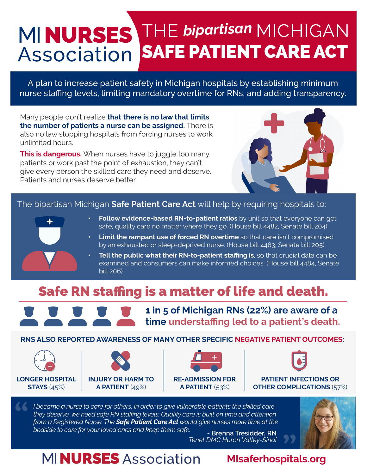# THE *bipartisan* MICHIGAN SAFE PATIENT CARE ACT Association

A plan to increase patient safety in Michigan hospitals by establishing minimum nurse staffing levels, limiting mandatory overtime for RNs, and adding transparency.

Many people don't realize **that there is no law that limits the number of patients a nurse can be assigned.** There is also no law stopping hospitals from forcing nurses to work unlimited hours.

**This is dangerous.** When nurses have to juggle too many patients or work past the point of exhaustion, they can't give every person the skilled care they need and deserve. Patients and nurses deserve better.



#### The bipartisan Michigan **Safe Patient Care Act** will help by requiring hospitals to:



- **• Follow evidence-based RN-to-patient ratios** by unit so that everyone can get safe, quality care no matter where they go. (House bill 4482, Senate bill 204)
- **• Limit the rampant use of forced RN overtime** so that care isn't compromised by an exhausted or sleep-deprived nurse. (House bill 4483, Senate bill 205)
- **Tell the public what their RN-to-patient staffing is, so that crucial data can be** examined and consumers can make informed choices. (House bill 4484, Senate bill 206)

# Safe RN staffing is a matter of life and death.



**1 in 5 of Michigan RNs (22%) are aware of a time understaffing led to a patient's death.**

**RNS ALSO REPORTED AWARENESS OF MANY OTHER SPECIFIC NEGATIVE PATIENT OUTCOMES:**









**PATIENT INFECTIONS OR OTHER COMPLICATIONS** (57%)

*I* became a nurse to care for others. In order to give vulnerable patients the skilled care *they deserve, we need safe RN staffing levels. Quality care is built on time and attention from a Registered Nurse. The Safe Patient Care Act would give nurses more time at the bedside to care for your loved ones and keep them safe.* **- Brenna Tresidder, RN**



*Tenet DMC Huron Valley-Sinai*

# **MINURSES** Association

#### **MIsaferhospitals.org**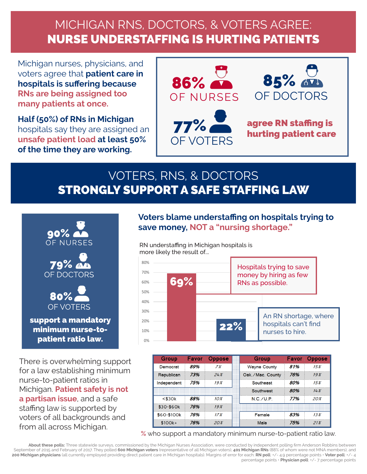# MICHIGAN RNS, DOCTORS, & VOTERS AGREE: NURSE UNDERSTAFFING IS HURTING PATIENTS

Michigan nurses, physicians, and voters agree that **patient care in hospitals is suffering because RNs are being assigned too many patients at once.**

**Half (50%) of RNs in Michigan**  hospitals say they are assigned an **unsafe patient load at least 50% of the time they are working.** 



## VOTERS, RNS, & DOCTORS STRONGLY SUPPORT A SAFE STAFFING LAW



There is overwhelming support for a law establishing minimum nurse-to-patient ratios in Michigan. **Patient safety is not a partisan issue**, and a safe staffing law is supported by voters of all backgrounds and

#### **Voters blame understaffing on hospitals trying to save money, NOT a "nursing shortage."**

more likely the result of… RN understaffing in Michigan hospitals is



| <b>Group</b> | Favor | <b>Oppose</b> | <b>Group</b>        | <b>Favor</b> | ppose  |
|--------------|-------|---------------|---------------------|--------------|--------|
| Democrat     | 89%   | 7%            | <b>Wayne County</b> | 81%          | 15%    |
| Republican   | 73%   | 24%           | Oak./Mac. County    | 76%          | 19%    |
| Independent  | 75%   | 19%           | Southeast           | 80%          | 15%    |
|              |       |               | Southwest           | 80%          | 14%    |
| $<$ \$30 $k$ | 88%   | $10\%$        | $NC$ /UP            | 77%          | 20%    |
| $$30-$60k$   | 76%   | 19%           |                     |              |        |
| \$60-\$100k  | 76%   | 17%           | Female              | 83%          | $13\%$ |
| $$100k+$     | 76%   | 20%           | Male                | 75%          | 21%    |

from all across Michigan.<br>*%* who support a mandatory minimum nurse-to-patient ratio law.

**About these polls:** Three statewide surveys, commissioned by the Michigan Nurses Association, were conducted by independent polling firm Anderson Robbins between September of 2015 and February of 2017. They polled **600 Michigan voters** (representative of all Michigan voters), **401 Michigan RNs** (88% of whom were not MNA members), and **200 Michigan physicians** (all currently employed providing direct patient care in Michigan hospitals). Margins of error for each: **RN poll**: +/- 4.9 percentage points • **Voter poll**: +/- 4 percentage points • **Physician poll**: +/- 7 percentage points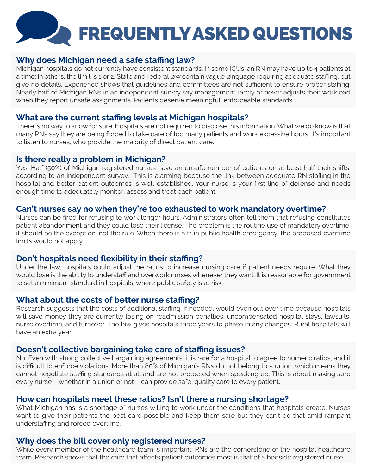# FREQUENTLY ASKED QUESTIONS

#### **Why does Michigan need a safe staffing law?**

Michigan hospitals do not currently have consistent standards. In some ICUs, an RN may have up to 4 patients at a time; in others, the limit is 1 or 2. State and federal law contain vague language requiring adequate staffing, but give no details. Experience shows that guidelines and committees are not sufficient to ensure proper staffing. Nearly half of Michigan RNs in an independent survey say management rarely or never adjusts their workload when they report unsafe assignments. Patients deserve meaningful, enforceable standards.

#### **What are the current staffing levels at Michigan hospitals?**

There is no way to know for sure. Hospitals are not required to disclose this information. What we do know is that many RNs say they are being forced to take care of too many patients and work excessive hours. It's important to listen to nurses, who provide the majority of direct patient care.

#### **Is there really a problem in Michigan?**

Yes. Half (50%) of Michigan registered nurses have an unsafe number of patients on at least half their shifts, according to an independent survey. This is alarming because the link between adequate RN staffing in the hospital and better patient outcomes is well-established. Your nurse is your first line of defense and needs enough time to adequately monitor, assess and treat each patient.

#### **Can't nurses say no when they're too exhausted to work mandatory overtime?**

Nurses can be fired for refusing to work longer hours. Administrators often tell them that refusing constitutes patient abandonment and they could lose their license. The problem is the routine use of mandatory overtime; it should be the exception, not the rule. When there is a true public health emergency, the proposed overtime limits would not apply.

#### **Don't hospitals need flexibility in their staffing?**

Under the law, hospitals could adjust the ratios to increase nursing care if patient needs require. What they would lose is the ability to understaff and overwork nurses whenever they want. It is reasonable for government to set a minimum standard in hospitals, where public safety is at risk.

#### **What about the costs of better nurse staffing?**

Research suggests that the costs of additional staffing, if needed, would even out over time because hospitals will save money they are currently losing on readmission penalties, uncompensated hospital stays, lawsuits, nurse overtime, and turnover. The law gives hospitals three years to phase in any changes. Rural hospitals will have an extra year.

#### **Doesn't collective bargaining take care of staffing issues?**

No. Even with strong collective bargaining agreements, it is rare for a hospital to agree to numeric ratios, and it is difficult to enforce violations. More than 80% of Michigan's RNs do not belong to a union, which means they cannot negotiate staffing standards at all and are not protected when speaking up. This is about making sure every nurse – whether in a union or not – can provide safe, quality care to every patient.

#### **How can hospitals meet these ratios? Isn't there a nursing shortage?**

What Michigan has is a shortage of nurses willing to work under the conditions that hospitals create. Nurses want to give their patients the best care possible and keep them safe but they can't do that amid rampant understaffing and forced overtime.

#### **Why does the bill cover only registered nurses?**

While every member of the healthcare team is important, RNs are the cornerstone of the hospital healthcare team. Research shows that the care that affects patient outcomes most is that of a bedside registered nurse.